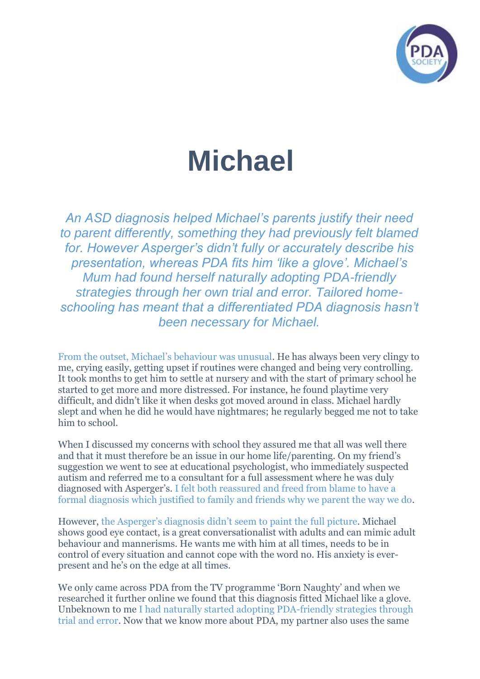

## **Michael**

*An ASD diagnosis helped Michael's parents justify their need to parent differently, something they had previously felt blamed for. However Asperger's didn't fully or accurately describe his presentation, whereas PDA fits him 'like a glove'. Michael's Mum had found herself naturally adopting PDA-friendly strategies through her own trial and error. Tailored homeschooling has meant that a differentiated PDA diagnosis hasn't been necessary for Michael.*

From the outset, Michael's behaviour was unusual. He has always been very clingy to me, crying easily, getting upset if routines were changed and being very controlling. It took months to get him to settle at nursery and with the start of primary school he started to get more and more distressed. For instance, he found playtime very difficult, and didn't like it when desks got moved around in class. Michael hardly slept and when he did he would have nightmares; he regularly begged me not to take him to school.

When I discussed my concerns with school they assured me that all was well there and that it must therefore be an issue in our home life/parenting. On my friend's suggestion we went to see at educational psychologist, who immediately suspected autism and referred me to a consultant for a full assessment where he was duly diagnosed with Asperger's. I felt both reassured and freed from blame to have a formal diagnosis which justified to family and friends why we parent the way we do.

However, the Asperger's diagnosis didn't seem to paint the full picture. Michael shows good eye contact, is a great conversationalist with adults and can mimic adult behaviour and mannerisms. He wants me with him at all times, needs to be in control of every situation and cannot cope with the word no. His anxiety is everpresent and he's on the edge at all times.

We only came across PDA from the TV programme 'Born Naughty' and when we researched it further online we found that this diagnosis fitted Michael like a glove. Unbeknown to me I had naturally started adopting PDA-friendly strategies through trial and error. Now that we know more about PDA, my partner also uses the same